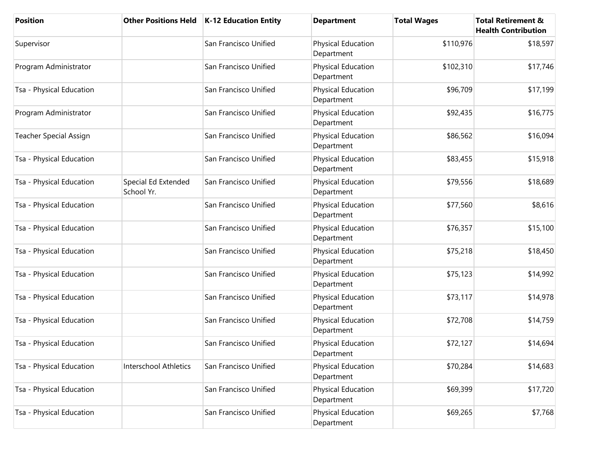| <b>Position</b>          | <b>Other Positions Held</b>       | <b>K-12 Education Entity</b> | <b>Department</b>                       | <b>Total Wages</b> | <b>Total Retirement &amp;</b><br><b>Health Contribution</b> |
|--------------------------|-----------------------------------|------------------------------|-----------------------------------------|--------------------|-------------------------------------------------------------|
| Supervisor               |                                   | San Francisco Unified        | Physical Education<br>Department        | \$110,976          | \$18,597                                                    |
| Program Administrator    |                                   | San Francisco Unified        | Physical Education<br>Department        | \$102,310          | \$17,746                                                    |
| Tsa - Physical Education |                                   | San Francisco Unified        | Physical Education<br>Department        | \$96,709           | \$17,199                                                    |
| Program Administrator    |                                   | San Francisco Unified        | Physical Education<br>Department        | \$92,435           | \$16,775                                                    |
| Teacher Special Assign   |                                   | San Francisco Unified        | Physical Education<br>Department        | \$86,562           | \$16,094                                                    |
| Tsa - Physical Education |                                   | San Francisco Unified        | Physical Education<br>Department        | \$83,455           | \$15,918                                                    |
| Tsa - Physical Education | Special Ed Extended<br>School Yr. | San Francisco Unified        | Physical Education<br>Department        | \$79,556           | \$18,689                                                    |
| Tsa - Physical Education |                                   | San Francisco Unified        | Physical Education<br>Department        | \$77,560           | \$8,616                                                     |
| Tsa - Physical Education |                                   | San Francisco Unified        | Physical Education<br>Department        | \$76,357           | \$15,100                                                    |
| Tsa - Physical Education |                                   | San Francisco Unified        | Physical Education<br>Department        | \$75,218           | \$18,450                                                    |
| Tsa - Physical Education |                                   | San Francisco Unified        | Physical Education<br>Department        | \$75,123           | \$14,992                                                    |
| Tsa - Physical Education |                                   | San Francisco Unified        | Physical Education<br>Department        | \$73,117           | \$14,978                                                    |
| Tsa - Physical Education |                                   | San Francisco Unified        | Physical Education<br>Department        | \$72,708           | \$14,759                                                    |
| Tsa - Physical Education |                                   | San Francisco Unified        | Physical Education<br>Department        | \$72,127           | \$14,694                                                    |
| Tsa - Physical Education | Interschool Athletics             | San Francisco Unified        | <b>Physical Education</b><br>Department | \$70,284           | \$14,683                                                    |
| Tsa - Physical Education |                                   | San Francisco Unified        | Physical Education<br>Department        | \$69,399           | \$17,720                                                    |
| Tsa - Physical Education |                                   | San Francisco Unified        | Physical Education<br>Department        | \$69,265           | \$7,768                                                     |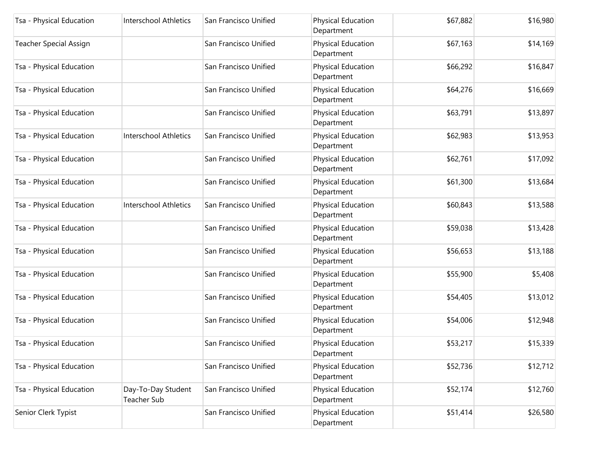| Tsa - Physical Education      | Interschool Athletics             | San Francisco Unified | Physical Education<br>Department | \$67,882 | \$16,980 |
|-------------------------------|-----------------------------------|-----------------------|----------------------------------|----------|----------|
| <b>Teacher Special Assign</b> |                                   | San Francisco Unified | Physical Education<br>Department | \$67,163 | \$14,169 |
| Tsa - Physical Education      |                                   | San Francisco Unified | Physical Education<br>Department | \$66,292 | \$16,847 |
| Tsa - Physical Education      |                                   | San Francisco Unified | Physical Education<br>Department | \$64,276 | \$16,669 |
| Tsa - Physical Education      |                                   | San Francisco Unified | Physical Education<br>Department | \$63,791 | \$13,897 |
| Tsa - Physical Education      | Interschool Athletics             | San Francisco Unified | Physical Education<br>Department | \$62,983 | \$13,953 |
| Tsa - Physical Education      |                                   | San Francisco Unified | Physical Education<br>Department | \$62,761 | \$17,092 |
| Tsa - Physical Education      |                                   | San Francisco Unified | Physical Education<br>Department | \$61,300 | \$13,684 |
| Tsa - Physical Education      | Interschool Athletics             | San Francisco Unified | Physical Education<br>Department | \$60,843 | \$13,588 |
| Tsa - Physical Education      |                                   | San Francisco Unified | Physical Education<br>Department | \$59,038 | \$13,428 |
| Tsa - Physical Education      |                                   | San Francisco Unified | Physical Education<br>Department | \$56,653 | \$13,188 |
| Tsa - Physical Education      |                                   | San Francisco Unified | Physical Education<br>Department | \$55,900 | \$5,408  |
| Tsa - Physical Education      |                                   | San Francisco Unified | Physical Education<br>Department | \$54,405 | \$13,012 |
| Tsa - Physical Education      |                                   | San Francisco Unified | Physical Education<br>Department | \$54,006 | \$12,948 |
| Tsa - Physical Education      |                                   | San Francisco Unified | Physical Education<br>Department | \$53,217 | \$15,339 |
| Tsa - Physical Education      |                                   | San Francisco Unified | Physical Education<br>Department | \$52,736 | \$12,712 |
| Tsa - Physical Education      | Day-To-Day Student<br>Teacher Sub | San Francisco Unified | Physical Education<br>Department | \$52,174 | \$12,760 |
| Senior Clerk Typist           |                                   | San Francisco Unified | Physical Education<br>Department | \$51,414 | \$26,580 |